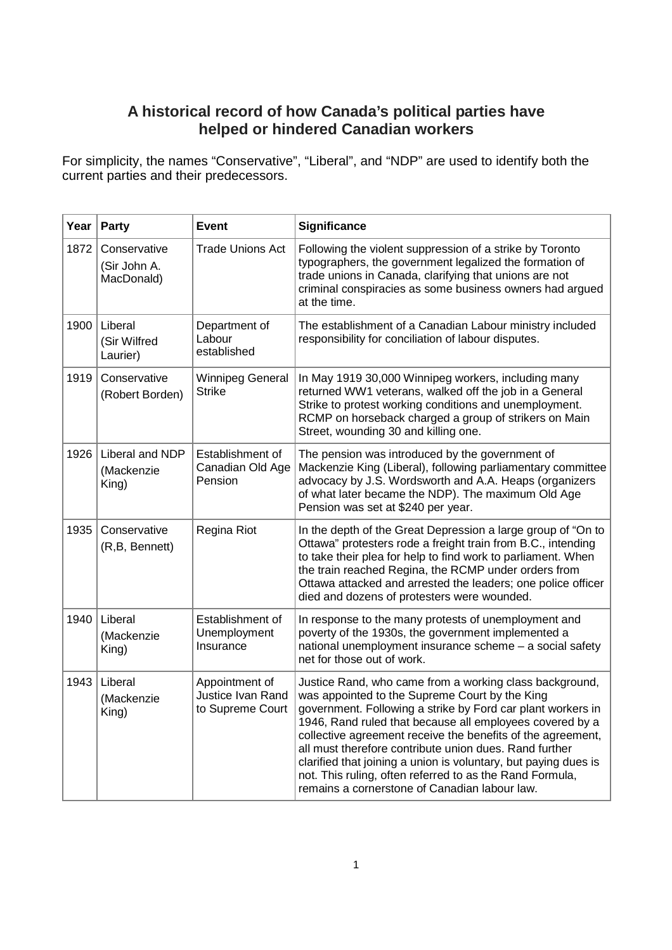## **A historical record of how Canada's political parties have helped or hindered Canadian workers**

For simplicity, the names "Conservative", "Liberal", and "NDP" are used to identify both the current parties and their predecessors.

|      | Year   Party                               | <b>Event</b>                                            | <b>Significance</b>                                                                                                                                                                                                                                                                                                                                                                                                                                                                                                                           |
|------|--------------------------------------------|---------------------------------------------------------|-----------------------------------------------------------------------------------------------------------------------------------------------------------------------------------------------------------------------------------------------------------------------------------------------------------------------------------------------------------------------------------------------------------------------------------------------------------------------------------------------------------------------------------------------|
| 1872 | Conservative<br>(Sir John A.<br>MacDonald) | <b>Trade Unions Act</b>                                 | Following the violent suppression of a strike by Toronto<br>typographers, the government legalized the formation of<br>trade unions in Canada, clarifying that unions are not<br>criminal conspiracies as some business owners had argued<br>at the time.                                                                                                                                                                                                                                                                                     |
| 1900 | Liberal<br>(Sir Wilfred<br>Laurier)        | Department of<br>Labour<br>established                  | The establishment of a Canadian Labour ministry included<br>responsibility for conciliation of labour disputes.                                                                                                                                                                                                                                                                                                                                                                                                                               |
| 1919 | Conservative<br>(Robert Borden)            | <b>Winnipeg General</b><br><b>Strike</b>                | In May 1919 30,000 Winnipeg workers, including many<br>returned WW1 veterans, walked off the job in a General<br>Strike to protest working conditions and unemployment.<br>RCMP on horseback charged a group of strikers on Main<br>Street, wounding 30 and killing one.                                                                                                                                                                                                                                                                      |
| 1926 | Liberal and NDP<br>(Mackenzie<br>King)     | Establishment of<br>Canadian Old Age<br>Pension         | The pension was introduced by the government of<br>Mackenzie King (Liberal), following parliamentary committee<br>advocacy by J.S. Wordsworth and A.A. Heaps (organizers<br>of what later became the NDP). The maximum Old Age<br>Pension was set at \$240 per year.                                                                                                                                                                                                                                                                          |
| 1935 | Conservative<br>(R,B, Bennett)             | Regina Riot                                             | In the depth of the Great Depression a large group of "On to<br>Ottawa" protesters rode a freight train from B.C., intending<br>to take their plea for help to find work to parliament. When<br>the train reached Regina, the RCMP under orders from<br>Ottawa attacked and arrested the leaders; one police officer<br>died and dozens of protesters were wounded.                                                                                                                                                                           |
| 1940 | Liberal<br>(Mackenzie<br>King)             | Establishment of<br>Unemployment<br>Insurance           | In response to the many protests of unemployment and<br>poverty of the 1930s, the government implemented a<br>national unemployment insurance scheme - a social safety<br>net for those out of work.                                                                                                                                                                                                                                                                                                                                          |
|      | 1943   Liberal<br>(Mackenzie<br>King)      | Appointment of<br>Justice Ivan Rand<br>to Supreme Court | Justice Rand, who came from a working class background,<br>was appointed to the Supreme Court by the King<br>government. Following a strike by Ford car plant workers in<br>1946, Rand ruled that because all employees covered by a<br>collective agreement receive the benefits of the agreement,<br>all must therefore contribute union dues. Rand further<br>clarified that joining a union is voluntary, but paying dues is<br>not. This ruling, often referred to as the Rand Formula,<br>remains a cornerstone of Canadian labour law. |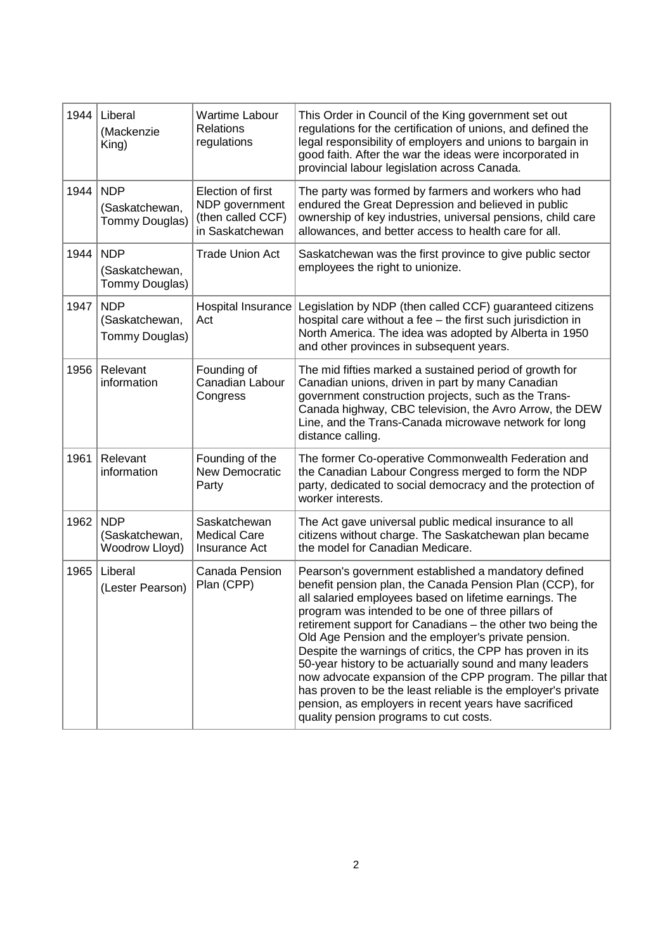| 1944 | Liberal<br>(Mackenzie<br>King)                 | <b>Wartime Labour</b><br><b>Relations</b><br>regulations                    | This Order in Council of the King government set out<br>regulations for the certification of unions, and defined the<br>legal responsibility of employers and unions to bargain in<br>good faith. After the war the ideas were incorporated in<br>provincial labour legislation across Canada.                                                                                                                                                                                                                                                                                                                                                                                                                    |
|------|------------------------------------------------|-----------------------------------------------------------------------------|-------------------------------------------------------------------------------------------------------------------------------------------------------------------------------------------------------------------------------------------------------------------------------------------------------------------------------------------------------------------------------------------------------------------------------------------------------------------------------------------------------------------------------------------------------------------------------------------------------------------------------------------------------------------------------------------------------------------|
| 1944 | <b>NDP</b><br>(Saskatchewan,<br>Tommy Douglas) | Election of first<br>NDP government<br>(then called CCF)<br>in Saskatchewan | The party was formed by farmers and workers who had<br>endured the Great Depression and believed in public<br>ownership of key industries, universal pensions, child care<br>allowances, and better access to health care for all.                                                                                                                                                                                                                                                                                                                                                                                                                                                                                |
| 1944 | <b>NDP</b><br>(Saskatchewan,<br>Tommy Douglas) | <b>Trade Union Act</b>                                                      | Saskatchewan was the first province to give public sector<br>employees the right to unionize.                                                                                                                                                                                                                                                                                                                                                                                                                                                                                                                                                                                                                     |
| 1947 | <b>NDP</b><br>(Saskatchewan,<br>Tommy Douglas) | Hospital Insurance<br>Act                                                   | Legislation by NDP (then called CCF) guaranteed citizens<br>hospital care without a fee - the first such jurisdiction in<br>North America. The idea was adopted by Alberta in 1950<br>and other provinces in subsequent years.                                                                                                                                                                                                                                                                                                                                                                                                                                                                                    |
| 1956 | Relevant<br>information                        | Founding of<br>Canadian Labour<br>Congress                                  | The mid fifties marked a sustained period of growth for<br>Canadian unions, driven in part by many Canadian<br>government construction projects, such as the Trans-<br>Canada highway, CBC television, the Avro Arrow, the DEW<br>Line, and the Trans-Canada microwave network for long<br>distance calling.                                                                                                                                                                                                                                                                                                                                                                                                      |
| 1961 | Relevant<br>information                        | Founding of the<br><b>New Democratic</b><br>Party                           | The former Co-operative Commonwealth Federation and<br>the Canadian Labour Congress merged to form the NDP<br>party, dedicated to social democracy and the protection of<br>worker interests.                                                                                                                                                                                                                                                                                                                                                                                                                                                                                                                     |
| 1962 | <b>NDP</b><br>(Saskatchewan,<br>Woodrow Lloyd) | Saskatchewan<br><b>Medical Care</b><br><b>Insurance Act</b>                 | The Act gave universal public medical insurance to all<br>citizens without charge. The Saskatchewan plan became<br>the model for Canadian Medicare.                                                                                                                                                                                                                                                                                                                                                                                                                                                                                                                                                               |
| 1965 | Liberal<br>(Lester Pearson)                    | Canada Pension<br>Plan (CPP)                                                | Pearson's government established a mandatory defined<br>benefit pension plan, the Canada Pension Plan (CCP), for<br>all salaried employees based on lifetime earnings. The<br>program was intended to be one of three pillars of<br>retirement support for Canadians - the other two being the<br>Old Age Pension and the employer's private pension.<br>Despite the warnings of critics, the CPP has proven in its<br>50-year history to be actuarially sound and many leaders<br>now advocate expansion of the CPP program. The pillar that<br>has proven to be the least reliable is the employer's private<br>pension, as employers in recent years have sacrificed<br>quality pension programs to cut costs. |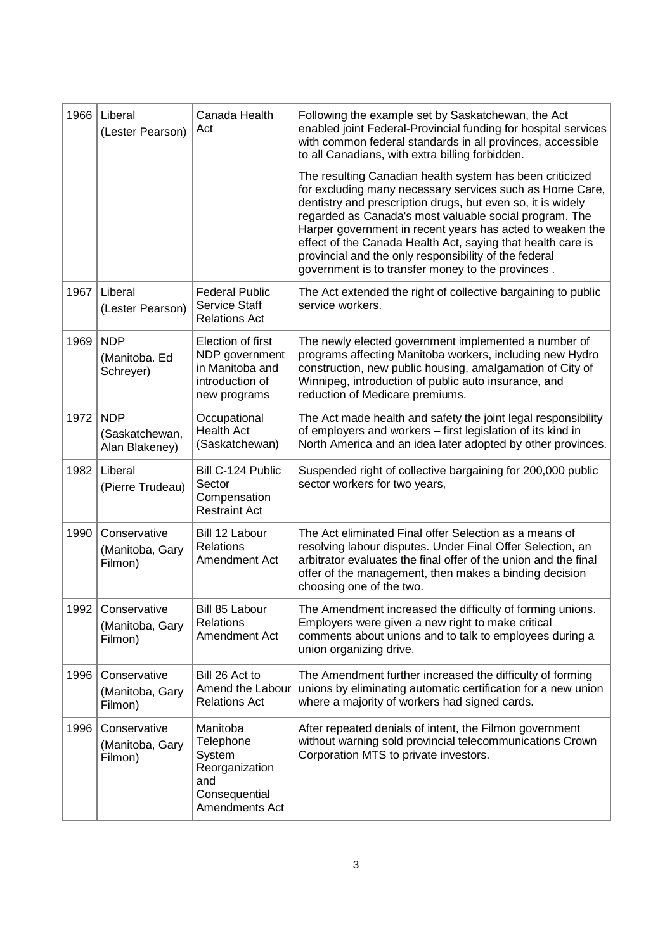| 1966 | Liberal<br>(Lester Pearson)                     | Canada Health<br>Act                                                                        | Following the example set by Saskatchewan, the Act<br>enabled joint Federal-Provincial funding for hospital services<br>with common federal standards in all provinces, accessible<br>to all Canadians, with extra billing forbidden.                                                                                                                                                                                                                                                   |
|------|-------------------------------------------------|---------------------------------------------------------------------------------------------|-----------------------------------------------------------------------------------------------------------------------------------------------------------------------------------------------------------------------------------------------------------------------------------------------------------------------------------------------------------------------------------------------------------------------------------------------------------------------------------------|
|      |                                                 |                                                                                             | The resulting Canadian health system has been criticized<br>for excluding many necessary services such as Home Care,<br>dentistry and prescription drugs, but even so, it is widely<br>regarded as Canada's most valuable social program. The<br>Harper government in recent years has acted to weaken the<br>effect of the Canada Health Act, saying that health care is<br>provincial and the only responsibility of the federal<br>government is to transfer money to the provinces. |
| 1967 | Liberal<br>(Lester Pearson)                     | <b>Federal Public</b><br><b>Service Staff</b><br><b>Relations Act</b>                       | The Act extended the right of collective bargaining to public<br>service workers.                                                                                                                                                                                                                                                                                                                                                                                                       |
| 1969 | <b>NDP</b><br>(Manitoba. Ed<br>Schreyer)        | Election of first<br>NDP government<br>in Manitoba and<br>introduction of<br>new programs   | The newly elected government implemented a number of<br>programs affecting Manitoba workers, including new Hydro<br>construction, new public housing, amalgamation of City of<br>Winnipeg, introduction of public auto insurance, and<br>reduction of Medicare premiums.                                                                                                                                                                                                                |
| 1972 | <b>NDP</b><br>(Saskatchewan,<br>Alan Blakeney)  | Occupational<br><b>Health Act</b><br>(Saskatchewan)                                         | The Act made health and safety the joint legal responsibility<br>of employers and workers - first legislation of its kind in<br>North America and an idea later adopted by other provinces.                                                                                                                                                                                                                                                                                             |
| 1982 | Liberal<br>(Pierre Trudeau)                     | Bill C-124 Public<br>Sector<br>Compensation<br><b>Restraint Act</b>                         | Suspended right of collective bargaining for 200,000 public<br>sector workers for two years,                                                                                                                                                                                                                                                                                                                                                                                            |
| 1990 | Conservative<br>(Manitoba, Gary<br>Filmon)      | Bill 12 Labour<br><b>Relations</b><br>Amendment Act                                         | The Act eliminated Final offer Selection as a means of<br>resolving labour disputes. Under Final Offer Selection, an<br>arbitrator evaluates the final offer of the union and the final<br>offer of the management, then makes a binding decision<br>choosing one of the two.                                                                                                                                                                                                           |
|      | 1992 Conservative<br>(Manitoba, Gary<br>Filmon) | Bill 85 Labour<br><b>Relations</b><br>Amendment Act                                         | The Amendment increased the difficulty of forming unions.<br>Employers were given a new right to make critical<br>comments about unions and to talk to employees during a<br>union organizing drive.                                                                                                                                                                                                                                                                                    |
| 1996 | Conservative<br>(Manitoba, Gary<br>Filmon)      | Bill 26 Act to<br>Amend the Labour<br><b>Relations Act</b>                                  | The Amendment further increased the difficulty of forming<br>unions by eliminating automatic certification for a new union<br>where a majority of workers had signed cards.                                                                                                                                                                                                                                                                                                             |
| 1996 | Conservative<br>(Manitoba, Gary<br>Filmon)      | Manitoba<br>Telephone<br>System<br>Reorganization<br>and<br>Consequential<br>Amendments Act | After repeated denials of intent, the Filmon government<br>without warning sold provincial telecommunications Crown<br>Corporation MTS to private investors.                                                                                                                                                                                                                                                                                                                            |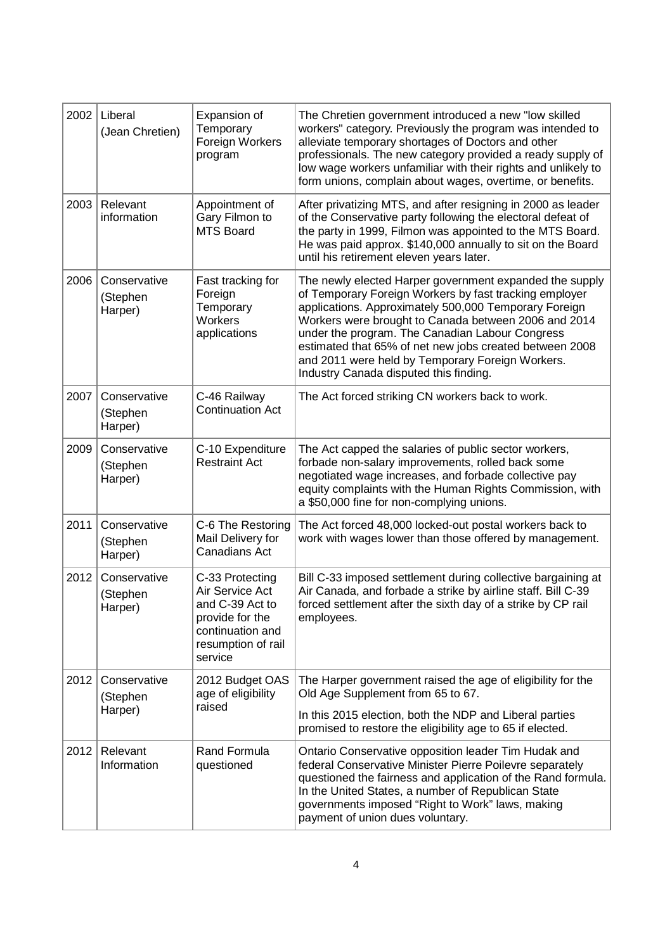| 2002 | Liberal<br>(Jean Chretien)          | Expansion of<br>Temporary<br>Foreign Workers<br>program                                                                       | The Chretien government introduced a new "low skilled<br>workers" category. Previously the program was intended to<br>alleviate temporary shortages of Doctors and other<br>professionals. The new category provided a ready supply of<br>low wage workers unfamiliar with their rights and unlikely to<br>form unions, complain about wages, overtime, or benefits.                                                                           |
|------|-------------------------------------|-------------------------------------------------------------------------------------------------------------------------------|------------------------------------------------------------------------------------------------------------------------------------------------------------------------------------------------------------------------------------------------------------------------------------------------------------------------------------------------------------------------------------------------------------------------------------------------|
| 2003 | Relevant<br>information             | Appointment of<br>Gary Filmon to<br><b>MTS Board</b>                                                                          | After privatizing MTS, and after resigning in 2000 as leader<br>of the Conservative party following the electoral defeat of<br>the party in 1999, Filmon was appointed to the MTS Board.<br>He was paid approx. \$140,000 annually to sit on the Board<br>until his retirement eleven years later.                                                                                                                                             |
| 2006 | Conservative<br>(Stephen<br>Harper) | Fast tracking for<br>Foreign<br>Temporary<br>Workers<br>applications                                                          | The newly elected Harper government expanded the supply<br>of Temporary Foreign Workers by fast tracking employer<br>applications. Approximately 500,000 Temporary Foreign<br>Workers were brought to Canada between 2006 and 2014<br>under the program. The Canadian Labour Congress<br>estimated that 65% of net new jobs created between 2008<br>and 2011 were held by Temporary Foreign Workers.<br>Industry Canada disputed this finding. |
| 2007 | Conservative<br>(Stephen<br>Harper) | C-46 Railway<br><b>Continuation Act</b>                                                                                       | The Act forced striking CN workers back to work.                                                                                                                                                                                                                                                                                                                                                                                               |
| 2009 | Conservative<br>(Stephen<br>Harper) | C-10 Expenditure<br><b>Restraint Act</b>                                                                                      | The Act capped the salaries of public sector workers,<br>forbade non-salary improvements, rolled back some<br>negotiated wage increases, and forbade collective pay<br>equity complaints with the Human Rights Commission, with<br>a \$50,000 fine for non-complying unions.                                                                                                                                                                   |
| 2011 | Conservative<br>(Stephen<br>Harper) | C-6 The Restoring<br>Mail Delivery for<br>Canadians Act                                                                       | The Act forced 48,000 locked-out postal workers back to<br>work with wages lower than those offered by management.                                                                                                                                                                                                                                                                                                                             |
| 2012 | Conservative<br>(Stephen<br>Harper) | C-33 Protecting<br>Air Service Act<br>and C-39 Act to<br>provide for the<br>continuation and<br>resumption of rail<br>service | Bill C-33 imposed settlement during collective bargaining at<br>Air Canada, and forbade a strike by airline staff. Bill C-39<br>forced settlement after the sixth day of a strike by CP rail<br>employees.                                                                                                                                                                                                                                     |
| 2012 | Conservative<br>(Stephen<br>Harper) | 2012 Budget OAS<br>age of eligibility<br>raised                                                                               | The Harper government raised the age of eligibility for the<br>Old Age Supplement from 65 to 67.                                                                                                                                                                                                                                                                                                                                               |
|      |                                     |                                                                                                                               | In this 2015 election, both the NDP and Liberal parties<br>promised to restore the eligibility age to 65 if elected.                                                                                                                                                                                                                                                                                                                           |
| 2012 | Relevant<br>Information             | Rand Formula<br>questioned                                                                                                    | Ontario Conservative opposition leader Tim Hudak and<br>federal Conservative Minister Pierre Poilevre separately<br>questioned the fairness and application of the Rand formula.<br>In the United States, a number of Republican State<br>governments imposed "Right to Work" laws, making<br>payment of union dues voluntary.                                                                                                                 |